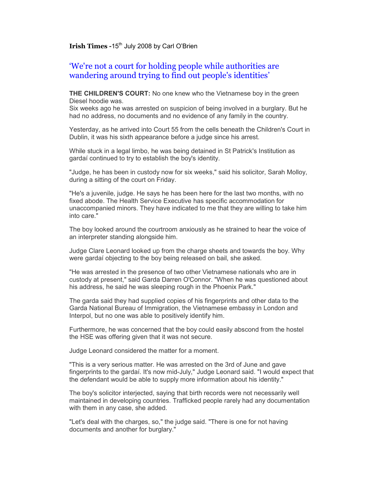## **Irish Times -15<sup>th</sup> July 2008 by Carl O'Brien**

## 'We're not a court for holding people while authorities are wandering around trying to find out people's identities'

**THE CHILDREN'S COURT:** No one knew who the Vietnamese boy in the green Diesel hoodie was.

Six weeks ago he was arrested on suspicion of being involved in a burglary. But he had no address, no documents and no evidence of any family in the country.

Yesterday, as he arrived into Court 55 from the cells beneath the Children's Court in Dublin, it was his sixth appearance before a judge since his arrest.

While stuck in a legal limbo, he was being detained in St Patrick's Institution as gardaí continued to try to establish the boy's identity.

"Judge, he has been in custody now for six weeks," said his solicitor, Sarah Molloy, during a sitting of the court on Friday.

"He's a juvenile, judge. He says he has been here for the last two months, with no fixed abode. The Health Service Executive has specific accommodation for unaccompanied minors. They have indicated to me that they are willing to take him into care."

The boy looked around the courtroom anxiously as he strained to hear the voice of an interpreter standing alongside him.

Judge Clare Leonard looked up from the charge sheets and towards the boy. Why were gardaí objecting to the boy being released on bail, she asked.

"He was arrested in the presence of two other Vietnamese nationals who are in custody at present," said Garda Darren O'Connor. "When he was questioned about his address, he said he was sleeping rough in the Phoenix Park."

The garda said they had supplied copies of his fingerprints and other data to the Garda National Bureau of Immigration, the Vietnamese embassy in London and Interpol, but no one was able to positively identify him.

Furthermore, he was concerned that the boy could easily abscond from the hostel the HSE was offering given that it was not secure.

Judge Leonard considered the matter for a moment.

"This is a very serious matter. He was arrested on the 3rd of June and gave fingerprints to the gardaí. It's now mid-July," Judge Leonard said. "I would expect that the defendant would be able to supply more information about his identity."

The boy's solicitor interjected, saying that birth records were not necessarily well maintained in developing countries. Trafficked people rarely had any documentation with them in any case, she added.

"Let's deal with the charges, so," the judge said. "There is one for not having documents and another for burglary."